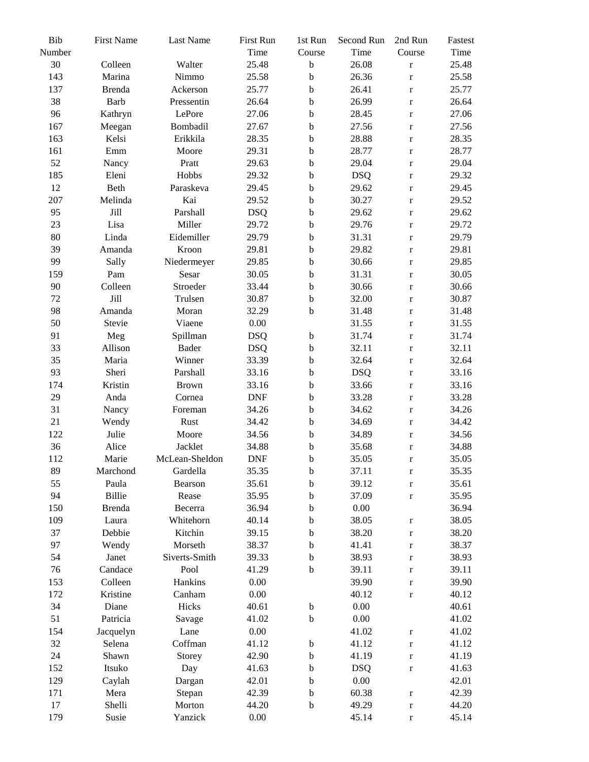| Bib<br>Number | <b>First Name</b> | Last Name         | First Run<br>Time | 1st Run<br>Course          | Second Run<br>Time | 2nd Run<br>Course | Fastest<br>Time |
|---------------|-------------------|-------------------|-------------------|----------------------------|--------------------|-------------------|-----------------|
| 30            | Colleen           | Walter            | 25.48             | $\mathbf b$                | 26.08              | $\mathbf r$       | 25.48           |
| 143           | Marina            | Nimmo             | 25.58             | $\mathbf b$                | 26.36              | $\mathbf r$       | 25.58           |
| 137           | Brenda            | Ackerson          | 25.77             | $\mathbf b$                | 26.41              |                   | 25.77           |
| 38            | <b>Barb</b>       | Pressentin        | 26.64             | $\mathbf b$                | 26.99              | $\mathbf r$       | 26.64           |
| 96            | Kathryn           | LePore            | 27.06             | $\mathbf b$                | 28.45              | $\mathbf r$       | 27.06           |
| 167           |                   | Bombadil          |                   |                            | 27.56              | $\mathbf r$       | 27.56           |
|               | Meegan<br>Kelsi   |                   | 27.67             | $\mathbf b$                |                    | $\mathbf r$       | 28.35           |
| 163           | Emm               | Erikkila<br>Moore | 28.35             | $\mathbf b$<br>$\mathbf b$ | 28.88<br>28.77     | $\mathbf r$       | 28.77           |
| 161<br>52     |                   | Pratt             | 29.31             |                            |                    | $\mathbf r$       | 29.04           |
|               | Nancy             | Hobbs             | 29.63             | $\mathbf b$                | 29.04              | $\mathbf r$       | 29.32           |
| 185           | Eleni             |                   | 29.32             | $\mathbf b$                | <b>DSQ</b>         | $\mathbf r$       |                 |
| 12            | Beth              | Paraskeva         | 29.45             | $\mathbf b$                | 29.62              | $\mathbf r$       | 29.45           |
| 207           | Melinda           | Kai               | 29.52             | $\mathbf b$                | 30.27              | $\mathbf r$       | 29.52           |
| 95            | Jill              | Parshall          | <b>DSQ</b>        | $\mathbf b$                | 29.62              | $\mathbf r$       | 29.62           |
| 23            | Lisa              | Miller            | 29.72             | $\mathbf b$                | 29.76              | $\mathbf r$       | 29.72           |
| 80            | Linda             | Eidemiller        | 29.79             | $\mathbf b$                | 31.31              | $\mathbf r$       | 29.79           |
| 39            | Amanda            | Kroon             | 29.81             | $\mathbf b$                | 29.82              | $\mathbf r$       | 29.81           |
| 99            | Sally             | Niedermeyer       | 29.85             | $\mathbf b$                | 30.66              | $\mathbf r$       | 29.85           |
| 159           | Pam               | Sesar             | 30.05             | $\mathbf b$                | 31.31              | $\mathbf r$       | 30.05           |
| 90            | Colleen           | Stroeder          | 33.44             | $\mathbf b$                | 30.66              | $\mathbf r$       | 30.66           |
| 72            | Jill              | Trulsen           | 30.87             | $\mathbf b$                | 32.00              | $\mathbf r$       | 30.87           |
| 98            | Amanda            | Moran             | 32.29             | $\mathbf b$                | 31.48              | $\mathbf r$       | 31.48           |
| 50            | Stevie            | Viaene            | 0.00              |                            | 31.55              | $\mathbf r$       | 31.55           |
| 91            | Meg               | Spillman          | <b>DSQ</b>        | $\mathbf b$                | 31.74              | $\mathbf r$       | 31.74           |
| 33            | Allison           | <b>Bader</b>      | <b>DSQ</b>        | $\mathbf b$                | 32.11              | $\mathbf r$       | 32.11           |
| 35            | Maria             | Winner            | 33.39             | $\mathbf b$                | 32.64              | $\mathbf r$       | 32.64           |
| 93            | Sheri             | Parshall          | 33.16             | $\mathbf b$                | <b>DSQ</b>         | $\mathbf r$       | 33.16           |
| 174           | Kristin           | <b>Brown</b>      | 33.16             | $\mathbf b$                | 33.66              | $\mathbf r$       | 33.16           |
| 29            | Anda              | Cornea            | <b>DNF</b>        | $\mathbf b$                | 33.28              | $\mathbf r$       | 33.28           |
| 31            | Nancy             | Foreman           | 34.26             | $\mathbf b$                | 34.62              | $\mathbf r$       | 34.26           |
| 21            | Wendy             | Rust              | 34.42             | $\mathbf b$                | 34.69              | $\mathbf r$       | 34.42           |
| 122           | Julie             | Moore             | 34.56             | $\mathbf b$                | 34.89              | $\mathbf r$       | 34.56           |
| 36            | Alice             | Jacklet           | 34.88             | $\mathbf b$                | 35.68              | $\mathbf r$       | 34.88           |
| 112           | Marie             | McLean-Sheldon    | <b>DNF</b>        | $\mathbf b$                | 35.05              | $\mathbf r$       | 35.05           |
| 89            | Marchond          | Gardella          | 35.35             | $\mathbf b$                | 37.11              | $\mathbf r$       | 35.35           |
| 55            | Paula             | Bearson           | 35.61             | b                          | 39.12              | $\mathbf r$       | 35.61           |
| 94            | Billie            | Rease             | 35.95             | $\mathbf b$                | 37.09              | $\mathbf r$       | 35.95           |
| 150           | <b>Brenda</b>     | Becerra           | 36.94             | $\mathbf b$                | 0.00               |                   | 36.94           |
| 109           | Laura             | Whitehorn         | 40.14             | b                          | 38.05              | $\mathbf r$       | 38.05           |
| 37            | Debbie            | Kitchin           | 39.15             | b                          | 38.20              | $\mathbf r$       | 38.20           |
| 97            | Wendy             | Morseth           | 38.37             | $\mathbf b$                | 41.41              | $\mathbf r$       | 38.37           |
| 54            | Janet             | Siverts-Smith     | 39.33             | $\mathbf b$                | 38.93              | $\mathbf r$       | 38.93           |
| 76            | Candace           | Pool              | 41.29             | $\mathbf b$                | 39.11              | $\mathbf r$       | 39.11           |
| 153           | Colleen           | Hankins           | 0.00              |                            | 39.90              | $\mathbf r$       | 39.90           |
| 172           | Kristine          | Canham            | 0.00              |                            | 40.12              | $\mathbf r$       | 40.12           |
| 34            | Diane             | Hicks             | 40.61             | $\mathbf b$                | 0.00               |                   | 40.61           |
| 51            | Patricia          | Savage            | 41.02             | $\mathbf b$                | 0.00               |                   | 41.02           |
| 154           | Jacquelyn         | Lane              | 0.00              |                            | 41.02              | $\mathbf r$       | 41.02           |
| 32            | Selena            | Coffman           | 41.12             | $\bf b$                    | 41.12              | $\mathbf r$       | 41.12           |
| 24            | Shawn             | Storey            | 42.90             | $\mathbf b$                | 41.19              | $\mathbf r$       | 41.19           |
| 152           | Itsuko            | Day               | 41.63             | $\mathbf b$                | <b>DSQ</b>         | $\mathbf r$       | 41.63           |
| 129           | Caylah            | Dargan            | 42.01             | $\mathbf b$                | 0.00               |                   | 42.01           |
| 171           | Mera              | Stepan            | 42.39             | $\mathbf b$                | 60.38              | $\mathbf r$       | 42.39           |
| 17            | Shelli            | Morton            | 44.20             | $\mathbf b$                | 49.29              | $\mathbf r$       | 44.20           |
| 179           | Susie             | Yanzick           | 0.00              |                            | 45.14              | $\mathbf r$       | 45.14           |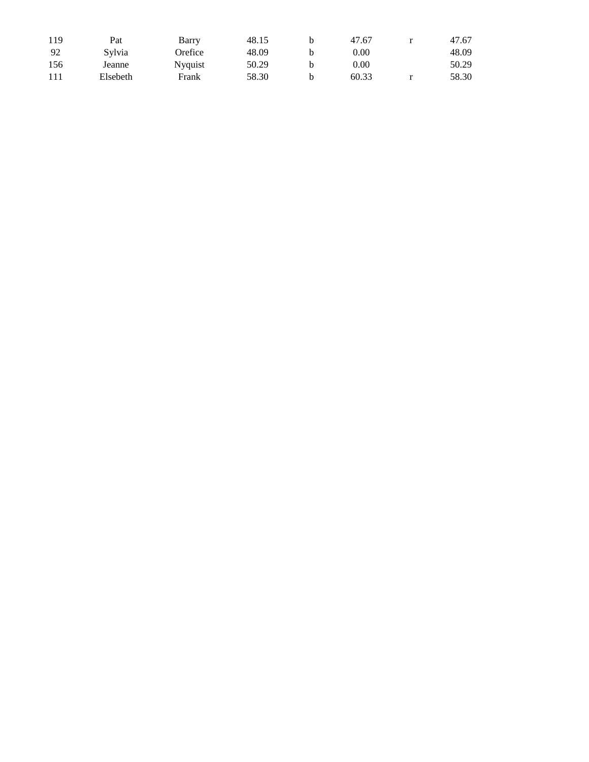| 119 | Pat      | Barry           | 48.15 | b. | 47.67 | 47.67 |
|-----|----------|-----------------|-------|----|-------|-------|
| -92 | Sylvia   | Orefice         | 48.09 |    | 0.00  | 48.09 |
| 156 | Jeanne   | <b>N</b> yquist | 50.29 | h  | 0.00  | 50.29 |
| 111 | Elsebeth | Frank           | 58.30 | h  | 60.33 | 58.30 |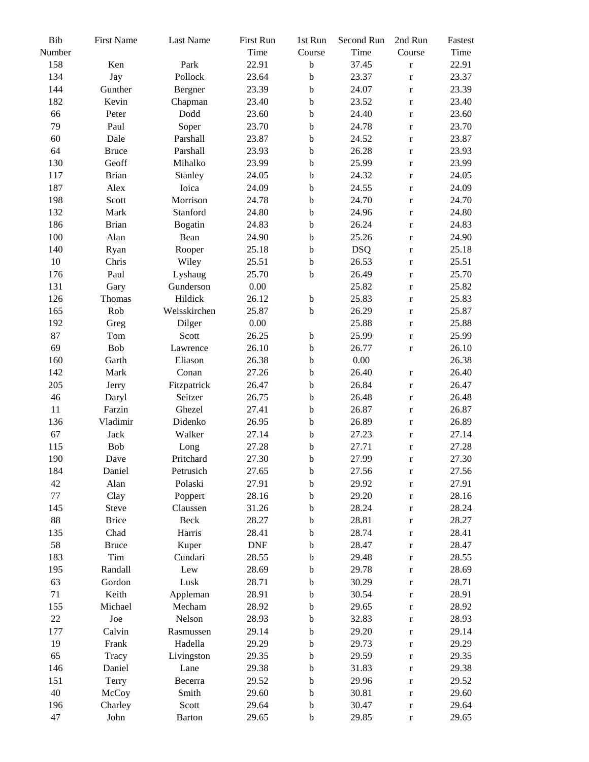| Bib<br>Number | <b>First Name</b> | Last Name     | First Run<br>Time | 1st Run<br>Course | Second Run<br>Time | 2nd Run<br>Course | Fastest<br>Time |
|---------------|-------------------|---------------|-------------------|-------------------|--------------------|-------------------|-----------------|
| 158           | Ken               | Park          | 22.91             | $\bf b$           | 37.45              |                   | 22.91           |
| 134           | Jay               | Pollock       | 23.64             | $\mathbf b$       | 23.37              | $\mathbf r$       | 23.37           |
| 144           | Gunther           |               |                   | $\mathbf b$       |                    | $\mathbf r$       |                 |
|               |                   | Bergner       | 23.39             |                   | 24.07              | $\mathbf r$       | 23.39           |
| 182           | Kevin             | Chapman       | 23.40             | $\mathbf b$       | 23.52              | $\mathbf r$       | 23.40           |
| 66            | Peter             | Dodd          | 23.60             | $\mathbf b$       | 24.40              | $\mathbf r$       | 23.60           |
| 79            | Paul              | Soper         | 23.70             | $\mathbf b$       | 24.78              | $\mathbf r$       | 23.70           |
| 60            | Dale              | Parshall      | 23.87             | $\mathbf b$       | 24.52              | $\mathbf r$       | 23.87           |
| 64            | <b>Bruce</b>      | Parshall      | 23.93             | $\mathbf b$       | 26.28              | $\mathbf r$       | 23.93           |
| 130           | Geoff             | Mihalko       | 23.99             | $\mathbf b$       | 25.99              | $\mathbf r$       | 23.99           |
| 117           | <b>Brian</b>      | Stanley       | 24.05             | $\mathbf b$       | 24.32              | $\mathbf r$       | 24.05           |
| 187           | Alex              | Ioica         | 24.09             | $\mathbf b$       | 24.55              | $\mathbf r$       | 24.09           |
| 198           | Scott             | Morrison      | 24.78             | $\mathbf b$       | 24.70              | $\mathbf r$       | 24.70           |
| 132           | Mark              | Stanford      | 24.80             | $\mathbf b$       | 24.96              | $\mathbf r$       | 24.80           |
| 186           | <b>Brian</b>      | Bogatin       | 24.83             | $\mathbf b$       | 26.24              | $\bf r$           | 24.83           |
| 100           | Alan              | Bean          | 24.90             | $\mathbf b$       | 25.26              | $\mathbf r$       | 24.90           |
| 140           | Ryan              | Rooper        | 25.18             | $\mathbf b$       | <b>DSQ</b>         | $\mathbf r$       | 25.18           |
| 10            | Chris             | Wiley         | 25.51             | $\mathbf b$       | 26.53              | $\mathbf r$       | 25.51           |
| 176           | Paul              | Lyshaug       | 25.70             | $\mathbf b$       | 26.49              | $\mathbf r$       | 25.70           |
| 131           | Gary              | Gunderson     | 0.00              |                   | 25.82              | $\mathbf r$       | 25.82           |
| 126           | Thomas            | Hildick       | 26.12             | $\mathbf b$       | 25.83              | $\mathbf r$       | 25.83           |
| 165           | Rob               | Weisskirchen  | 25.87             | $\mathbf b$       | 26.29              | $\mathbf r$       | 25.87           |
| 192           | Greg              | Dilger        | 0.00              |                   | 25.88              | $\mathbf r$       | 25.88           |
| 87            | Tom               | Scott         | 26.25             | $\mathbf b$       | 25.99              | $\mathbf r$       | 25.99           |
| 69            | Bob               | Lawrence      | 26.10             | $\mathbf b$       | 26.77              | $\mathbf r$       | 26.10           |
| 160           | Garth             | Eliason       | 26.38             | $\mathbf b$       | $0.00\,$           |                   | 26.38           |
| 142           | Mark              | Conan         | 27.26             | $\mathbf b$       | 26.40              | $\mathbf r$       | 26.40           |
| 205           | Jerry             | Fitzpatrick   | 26.47             | $\mathbf b$       | 26.84              | $\mathbf r$       | 26.47           |
| 46            | Daryl             | Seitzer       | 26.75             | $\mathbf b$       | 26.48              | $\mathbf r$       | 26.48           |
| 11            | Farzin            | Ghezel        | 27.41             | $\mathbf b$       | 26.87              | $\mathbf r$       | 26.87           |
| 136           | Vladimir          | Didenko       | 26.95             | $\mathbf b$       | 26.89              | $\mathbf r$       | 26.89           |
| 67            | Jack              | Walker        | 27.14             | $\mathbf b$       | 27.23              | $\mathbf r$       | 27.14           |
| 115           | Bob               | Long          | 27.28             | $\mathbf b$       | 27.71              | $\mathbf r$       | 27.28           |
| 190           | Dave              | Pritchard     | 27.30             | $\mathbf b$       | 27.99              | $\mathbf r$       | 27.30           |
| 184           | Daniel            | Petrusich     | 27.65             | $\mathbf b$       | 27.56              | $\mathbf r$       | 27.56           |
| 42            | Alan              | Polaski       | 27.91             | $\mathbf b$       | 29.92              | $\mathbf r$       | 27.91           |
| 77            | Clay              | Poppert       | 28.16             | $\mathbf b$       | 29.20              | $\mathbf r$       | 28.16           |
| 145           | Steve             | Claussen      | 31.26             | $\mathbf b$       | 28.24              | $\mathbf r$       | 28.24           |
| 88            | <b>Brice</b>      | Beck          | 28.27             | $\mathbf b$       | 28.81              | $\mathbf r$       | 28.27           |
| 135           | Chad              | Harris        | 28.41             | b                 | 28.74              | $\mathbf r$       | 28.41           |
| 58            | <b>Bruce</b>      | Kuper         | <b>DNF</b>        | $\mathbf b$       | 28.47              | $\mathbf r$       | 28.47           |
| 183           | Tim               | Cundari       | 28.55             | b                 | 29.48              | $\mathbf r$       | 28.55           |
| 195           | Randall           | Lew           | 28.69             | b                 | 29.78              | $\mathbf r$       | 28.69           |
| 63            | Gordon            | Lusk          | 28.71             | $\mathbf b$       | 30.29              | $\mathbf r$       | 28.71           |
| 71            | Keith             | Appleman      | 28.91             | $\mathbf b$       | 30.54              | $\mathbf r$       | 28.91           |
| 155           | Michael           | Mecham        | 28.92             | $\mathbf b$       | 29.65              | $\mathbf r$       | 28.92           |
| $22\,$        | Joe               | Nelson        | 28.93             | b                 | 32.83              | $\mathbf r$       | 28.93           |
| 177           | Calvin            | Rasmussen     | 29.14             | $\mathbf b$       | 29.20              | $\mathbf r$       | 29.14           |
| 19            | Frank             | Hadella       | 29.29             | $\mathbf b$       | 29.73              | $\mathbf r$       | 29.29           |
| 65            | Tracy             | Livingston    | 29.35             | $\mathbf b$       | 29.59              | $\mathbf r$       | 29.35           |
| 146           | Daniel            | Lane          | 29.38             | $\mathbf b$       | 31.83              | $\mathbf r$       | 29.38           |
| 151           | Terry             | Becerra       | 29.52             | $\mathbf b$       | 29.96              | $\mathbf r$       | 29.52           |
| 40            | McCoy             | Smith         | 29.60             | $\mathbf b$       | 30.81              | $\mathbf r$       | 29.60           |
| 196           | Charley           | Scott         | 29.64             | $\mathbf b$       | 30.47              | $\mathbf r$       | 29.64           |
| 47            | John              | <b>Barton</b> | 29.65             | $\mathbf b$       | 29.85              | $\mathbf r$       | 29.65           |
|               |                   |               |                   |                   |                    |                   |                 |